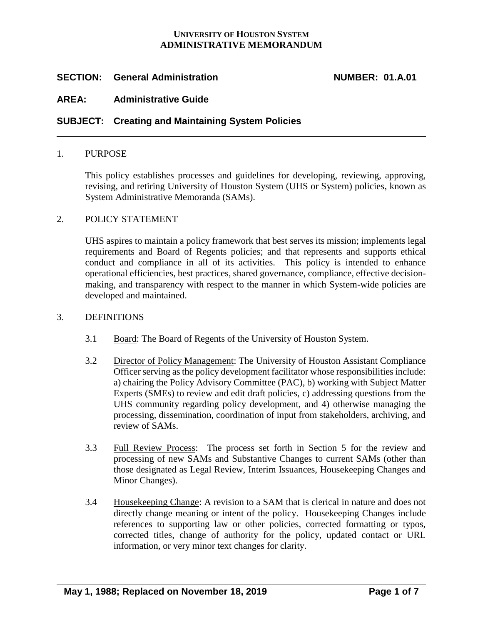# **UNIVERSITY OF HOUSTON SYSTEM ADMINISTRATIVE MEMORANDUM**

# **SECTION: General Administration NUMBER: 01.A.01**

# **AREA: Administrative Guide**

## **SUBJECT: Creating and Maintaining System Policies**

## 1. PURPOSE

This policy establishes processes and guidelines for developing, reviewing, approving, revising, and retiring University of Houston System (UHS or System) policies, known as System Administrative Memoranda (SAMs).

## 2. POLICY STATEMENT

UHS aspires to maintain a policy framework that best serves its mission; implements legal requirements and Board of Regents policies; and that represents and supports ethical conduct and compliance in all of its activities. This policy is intended to enhance operational efficiencies, best practices, shared governance, compliance, effective decisionmaking, and transparency with respect to the manner in which System-wide policies are developed and maintained.

#### 3. DEFINITIONS

- 3.1 Board: The Board of Regents of the University of Houston System.
- 3.2 Director of Policy Management: The University of Houston Assistant Compliance Officer serving as the policy development facilitator whose responsibilities include: a) chairing the Policy Advisory Committee (PAC), b) working with Subject Matter Experts (SMEs) to review and edit draft policies, c) addressing questions from the UHS community regarding policy development, and 4) otherwise managing the processing, dissemination, coordination of input from stakeholders, archiving, and review of SAMs.
- 3.3 Full Review Process: The process set forth in Section 5 for the review and processing of new SAMs and Substantive Changes to current SAMs (other than those designated as Legal Review, Interim Issuances, Housekeeping Changes and Minor Changes).
- 3.4 Housekeeping Change: A revision to a SAM that is clerical in nature and does not directly change meaning or intent of the policy. Housekeeping Changes include references to supporting law or other policies, corrected formatting or typos, corrected titles, change of authority for the policy, updated contact or URL information, or very minor text changes for clarity.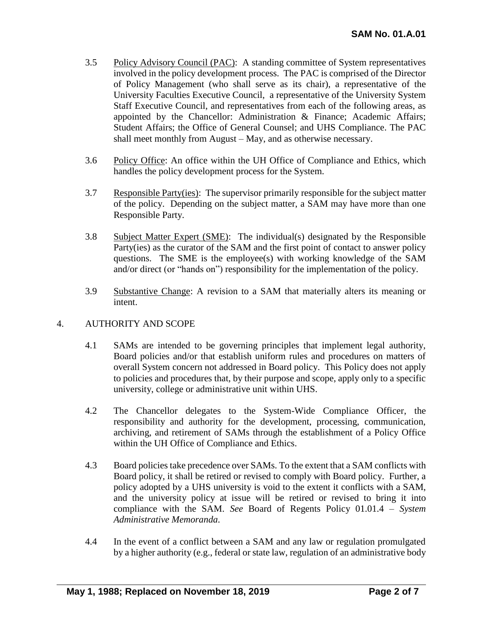- 3.5 Policy Advisory Council (PAC): A standing committee of System representatives involved in the policy development process. The PAC is comprised of the Director of Policy Management (who shall serve as its chair), a representative of the University Faculties Executive Council, a representative of the University System Staff Executive Council, and representatives from each of the following areas, as appointed by the Chancellor: Administration & Finance; Academic Affairs; Student Affairs; the Office of General Counsel; and UHS Compliance. The PAC shall meet monthly from August – May, and as otherwise necessary.
- 3.6 Policy Office: An office within the UH Office of Compliance and Ethics, which handles the policy development process for the System.
- 3.7 Responsible Party(ies): The supervisor primarily responsible for the subject matter of the policy. Depending on the subject matter, a SAM may have more than one Responsible Party.
- 3.8 Subject Matter Expert (SME): The individual(s) designated by the Responsible Party(ies) as the curator of the SAM and the first point of contact to answer policy questions. The SME is the employee(s) with working knowledge of the SAM and/or direct (or "hands on") responsibility for the implementation of the policy.
- 3.9 Substantive Change: A revision to a SAM that materially alters its meaning or intent.

# 4. AUTHORITY AND SCOPE

- 4.1 SAMs are intended to be governing principles that implement legal authority, Board policies and/or that establish uniform rules and procedures on matters of overall System concern not addressed in Board policy. This Policy does not apply to policies and procedures that, by their purpose and scope, apply only to a specific university, college or administrative unit within UHS.
- 4.2 The Chancellor delegates to the System-Wide Compliance Officer, the responsibility and authority for the development, processing, communication, archiving, and retirement of SAMs through the establishment of a Policy Office within the UH Office of Compliance and Ethics.
- 4.3 Board policies take precedence over SAMs. To the extent that a SAM conflicts with Board policy, it shall be retired or revised to comply with Board policy. Further, a policy adopted by a UHS university is void to the extent it conflicts with a SAM, and the university policy at issue will be retired or revised to bring it into compliance with the SAM. *See* Board of Regents Policy 01.01.4 – *System Administrative Memoranda.*
- 4.4 In the event of a conflict between a SAM and any law or regulation promulgated by a higher authority (e.g., federal or state law, regulation of an administrative body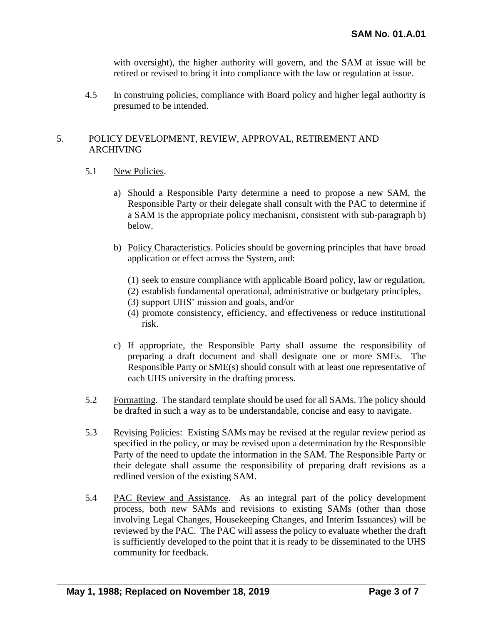with oversight), the higher authority will govern, and the SAM at issue will be retired or revised to bring it into compliance with the law or regulation at issue.

4.5 In construing policies, compliance with Board policy and higher legal authority is presumed to be intended.

# 5. POLICY DEVELOPMENT, REVIEW, APPROVAL, RETIREMENT AND ARCHIVING

## 5.1 New Policies.

- a) Should a Responsible Party determine a need to propose a new SAM, the Responsible Party or their delegate shall consult with the PAC to determine if a SAM is the appropriate policy mechanism, consistent with sub-paragraph b) below.
- b) Policy Characteristics. Policies should be governing principles that have broad application or effect across the System, and:
	- (1) seek to ensure compliance with applicable Board policy, law or regulation,
	- (2) establish fundamental operational, administrative or budgetary principles,
	- (3) support UHS' mission and goals, and/or
	- (4) promote consistency, efficiency, and effectiveness or reduce institutional risk.
- c) If appropriate, the Responsible Party shall assume the responsibility of preparing a draft document and shall designate one or more SMEs. The Responsible Party or SME(s) should consult with at least one representative of each UHS university in the drafting process.
- 5.2 Formatting. The standard template should be used for all SAMs. The policy should be drafted in such a way as to be understandable, concise and easy to navigate.
- 5.3 Revising Policies: Existing SAMs may be revised at the regular review period as specified in the policy, or may be revised upon a determination by the Responsible Party of the need to update the information in the SAM. The Responsible Party or their delegate shall assume the responsibility of preparing draft revisions as a redlined version of the existing SAM.
- 5.4 PAC Review and Assistance. As an integral part of the policy development process, both new SAMs and revisions to existing SAMs (other than those involving Legal Changes, Housekeeping Changes, and Interim Issuances) will be reviewed by the PAC. The PAC will assess the policy to evaluate whether the draft is sufficiently developed to the point that it is ready to be disseminated to the UHS community for feedback.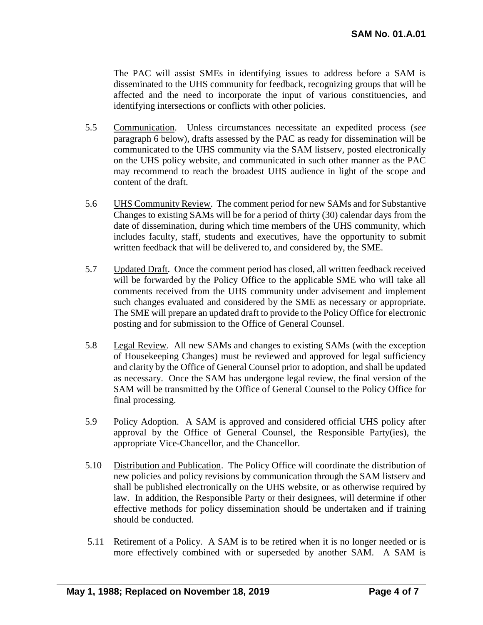The PAC will assist SMEs in identifying issues to address before a SAM is disseminated to the UHS community for feedback, recognizing groups that will be affected and the need to incorporate the input of various constituencies, and identifying intersections or conflicts with other policies.

- 5.5 Communication. Unless circumstances necessitate an expedited process (*see* paragraph 6 below), drafts assessed by the PAC as ready for dissemination will be communicated to the UHS community via the SAM listserv, posted electronically on the UHS policy website, and communicated in such other manner as the PAC may recommend to reach the broadest UHS audience in light of the scope and content of the draft.
- 5.6 UHS Community Review. The comment period for new SAMs and for Substantive Changes to existing SAMs will be for a period of thirty (30) calendar days from the date of dissemination, during which time members of the UHS community, which includes faculty, staff, students and executives, have the opportunity to submit written feedback that will be delivered to, and considered by, the SME.
- 5.7 Updated Draft. Once the comment period has closed, all written feedback received will be forwarded by the Policy Office to the applicable SME who will take all comments received from the UHS community under advisement and implement such changes evaluated and considered by the SME as necessary or appropriate. The SME will prepare an updated draft to provide to the Policy Office for electronic posting and for submission to the Office of General Counsel.
- 5.8 Legal Review. All new SAMs and changes to existing SAMs (with the exception of Housekeeping Changes) must be reviewed and approved for legal sufficiency and clarity by the Office of General Counsel prior to adoption, and shall be updated as necessary. Once the SAM has undergone legal review, the final version of the SAM will be transmitted by the Office of General Counsel to the Policy Office for final processing.
- 5.9 Policy Adoption. A SAM is approved and considered official UHS policy after approval by the Office of General Counsel, the Responsible Party(ies), the appropriate Vice-Chancellor, and the Chancellor.
- 5.10 Distribution and Publication. The Policy Office will coordinate the distribution of new policies and policy revisions by communication through the SAM listserv and shall be published electronically on the UHS website, or as otherwise required by law. In addition, the Responsible Party or their designees, will determine if other effective methods for policy dissemination should be undertaken and if training should be conducted.
- 5.11 Retirement of a Policy. A SAM is to be retired when it is no longer needed or is more effectively combined with or superseded by another SAM. A SAM is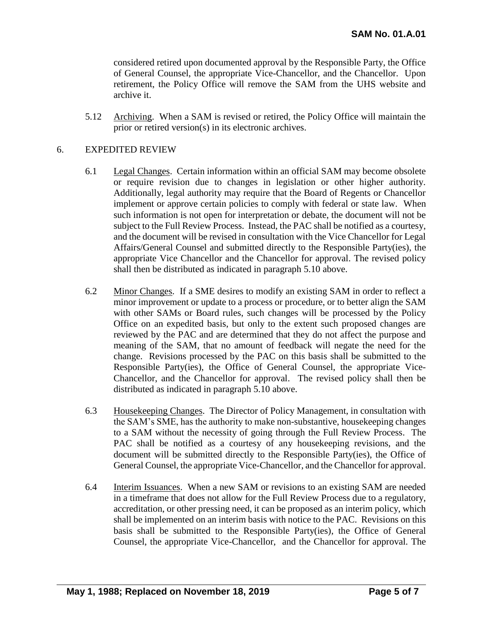considered retired upon documented approval by the Responsible Party, the Office of General Counsel, the appropriate Vice-Chancellor, and the Chancellor. Upon retirement, the Policy Office will remove the SAM from the UHS website and archive it.

5.12 Archiving. When a SAM is revised or retired, the Policy Office will maintain the prior or retired version(s) in its electronic archives.

# 6. EXPEDITED REVIEW

- 6.1 Legal Changes. Certain information within an official SAM may become obsolete or require revision due to changes in legislation or other higher authority. Additionally, legal authority may require that the Board of Regents or Chancellor implement or approve certain policies to comply with federal or state law. When such information is not open for interpretation or debate, the document will not be subject to the Full Review Process. Instead, the PAC shall be notified as a courtesy, and the document will be revised in consultation with the Vice Chancellor for Legal Affairs/General Counsel and submitted directly to the Responsible Party(ies), the appropriate Vice Chancellor and the Chancellor for approval. The revised policy shall then be distributed as indicated in paragraph 5.10 above.
- 6.2 Minor Changes. If a SME desires to modify an existing SAM in order to reflect a minor improvement or update to a process or procedure, or to better align the SAM with other SAMs or Board rules, such changes will be processed by the Policy Office on an expedited basis, but only to the extent such proposed changes are reviewed by the PAC and are determined that they do not affect the purpose and meaning of the SAM, that no amount of feedback will negate the need for the change. Revisions processed by the PAC on this basis shall be submitted to the Responsible Party(ies), the Office of General Counsel, the appropriate Vice-Chancellor, and the Chancellor for approval. The revised policy shall then be distributed as indicated in paragraph 5.10 above.
- 6.3 Housekeeping Changes. The Director of Policy Management, in consultation with the SAM's SME, has the authority to make non-substantive, housekeeping changes to a SAM without the necessity of going through the Full Review Process. The PAC shall be notified as a courtesy of any housekeeping revisions, and the document will be submitted directly to the Responsible Party(ies), the Office of General Counsel, the appropriate Vice-Chancellor, and the Chancellor for approval.
- 6.4 Interim Issuances. When a new SAM or revisions to an existing SAM are needed in a timeframe that does not allow for the Full Review Process due to a regulatory, accreditation, or other pressing need, it can be proposed as an interim policy, which shall be implemented on an interim basis with notice to the PAC. Revisions on this basis shall be submitted to the Responsible Party(ies), the Office of General Counsel, the appropriate Vice-Chancellor, and the Chancellor for approval. The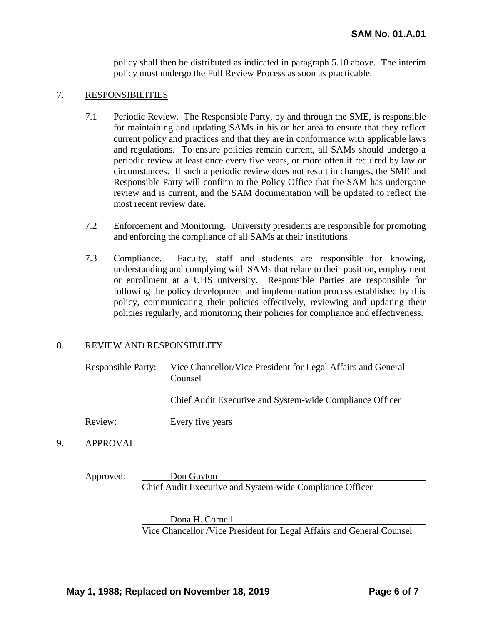policy shall then be distributed as indicated in paragraph 5.10 above. The interim policy must undergo the Full Review Process as soon as practicable.

# 7. RESPONSIBILITIES

- 7.1 Periodic Review. The Responsible Party, by and through the SME, is responsible for maintaining and updating SAMs in his or her area to ensure that they reflect current policy and practices and that they are in conformance with applicable laws and regulations. To ensure policies remain current, all SAMs should undergo a periodic review at least once every five years, or more often if required by law or circumstances. If such a periodic review does not result in changes, the SME and Responsible Party will confirm to the Policy Office that the SAM has undergone review and is current, and the SAM documentation will be updated to reflect the most recent review date.
- 7.2 Enforcement and Monitoring. University presidents are responsible for promoting and enforcing the compliance of all SAMs at their institutions.
- 7.3 Compliance. Faculty, staff and students are responsible for knowing, understanding and complying with SAMs that relate to their position, employment or enrollment at a UHS university. Responsible Parties are responsible for following the policy development and implementation process established by this policy, communicating their policies effectively, reviewing and updating their policies regularly, and monitoring their policies for compliance and effectiveness.

## 8. REVIEW AND RESPONSIBILITY

| <b>Responsible Party:</b> | Vice Chancellor/Vice President for Legal Affairs and General<br>Counsel |
|---------------------------|-------------------------------------------------------------------------|
|                           | Chief Audit Executive and System-wide Compliance Officer                |
| Review:                   | Every five years                                                        |
| 1.755717                  |                                                                         |

9. APPROVAL

Approved: Don Guyton Chief Audit Executive and System-wide Compliance Officer

Dona H. Cornell

Vice Chancellor /Vice President for Legal Affairs and General Counsel